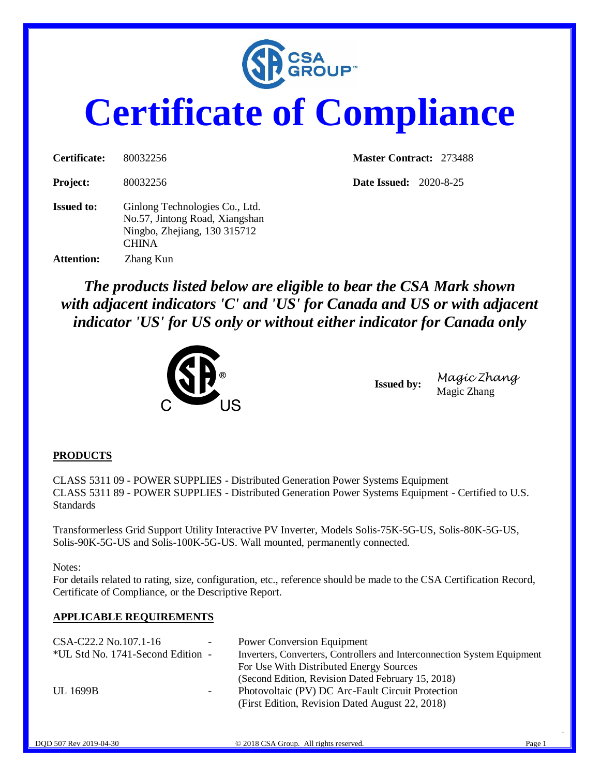

## **Certificate of Compliance**

| Certificate:      | 80032256                                                                                                         | <b>Master Contract: 273488</b> |
|-------------------|------------------------------------------------------------------------------------------------------------------|--------------------------------|
| <b>Project:</b>   | 80032256                                                                                                         | <b>Date Issued:</b> 2020-8-25  |
| <b>Issued to:</b> | Ginlong Technologies Co., Ltd.<br>No.57, Jintong Road, Xiangshan<br>Ningbo, Zhejiang, 130 315712<br><b>CHINA</b> |                                |
| <b>Attention:</b> | Zhang Kun                                                                                                        |                                |

*The products listed below are eligible to bear the CSA Mark shown with adjacent indicators 'C' and 'US' for Canada and US or with adjacent indicator 'US' for US only or without either indicator for Canada only* 



**Issued by:** *Magic Zhang* Magic Zhang

## **PRODUCTS**

CLASS 5311 09 - POWER SUPPLIES - Distributed Generation Power Systems Equipment CLASS 5311 89 - POWER SUPPLIES - Distributed Generation Power Systems Equipment - Certified to U.S. Standards

Transformerless Grid Support Utility Interactive PV Inverter, Models Solis-75K-5G-US, Solis-80K-5G-US, Solis-90K-5G-US and Solis-100K-5G-US. Wall mounted, permanently connected.

Notes:

For details related to rating, size, configuration, etc., reference should be made to the CSA Certification Record, Certificate of Compliance, or the Descriptive Report.

## **APPLICABLE REQUIREMENTS**

| CSA-C22.2 No.107.1-16             | $\overline{\phantom{a}}$ | <b>Power Conversion Equipment</b>                                       |
|-----------------------------------|--------------------------|-------------------------------------------------------------------------|
| *UL Std No. 1741-Second Edition - |                          | Inverters, Converters, Controllers and Interconnection System Equipment |
|                                   |                          | For Use With Distributed Energy Sources                                 |
|                                   |                          | (Second Edition, Revision Dated February 15, 2018)                      |
| UL 1699B                          | н.                       | Photovoltaic (PV) DC Arc-Fault Circuit Protection                       |
|                                   |                          | (First Edition, Revision Dated August 22, 2018)                         |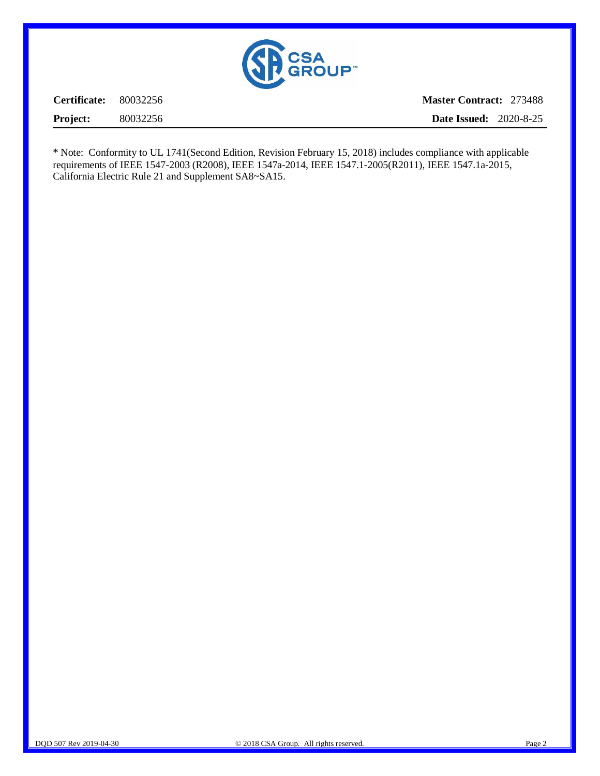

**Certificate:** 80032256 **Project:** 80032256 **Master Contract:** 273488 **Date Issued:** 2020-8-25

\* Note: Conformity to UL 1741(Second Edition, Revision February 15, 2018) includes compliance with applicable requirements of IEEE 1547-2003 (R2008), IEEE 1547a-2014, IEEE 1547.1-2005(R2011), IEEE 1547.1a-2015, California Electric Rule 21 and Supplement SA8~SA15.